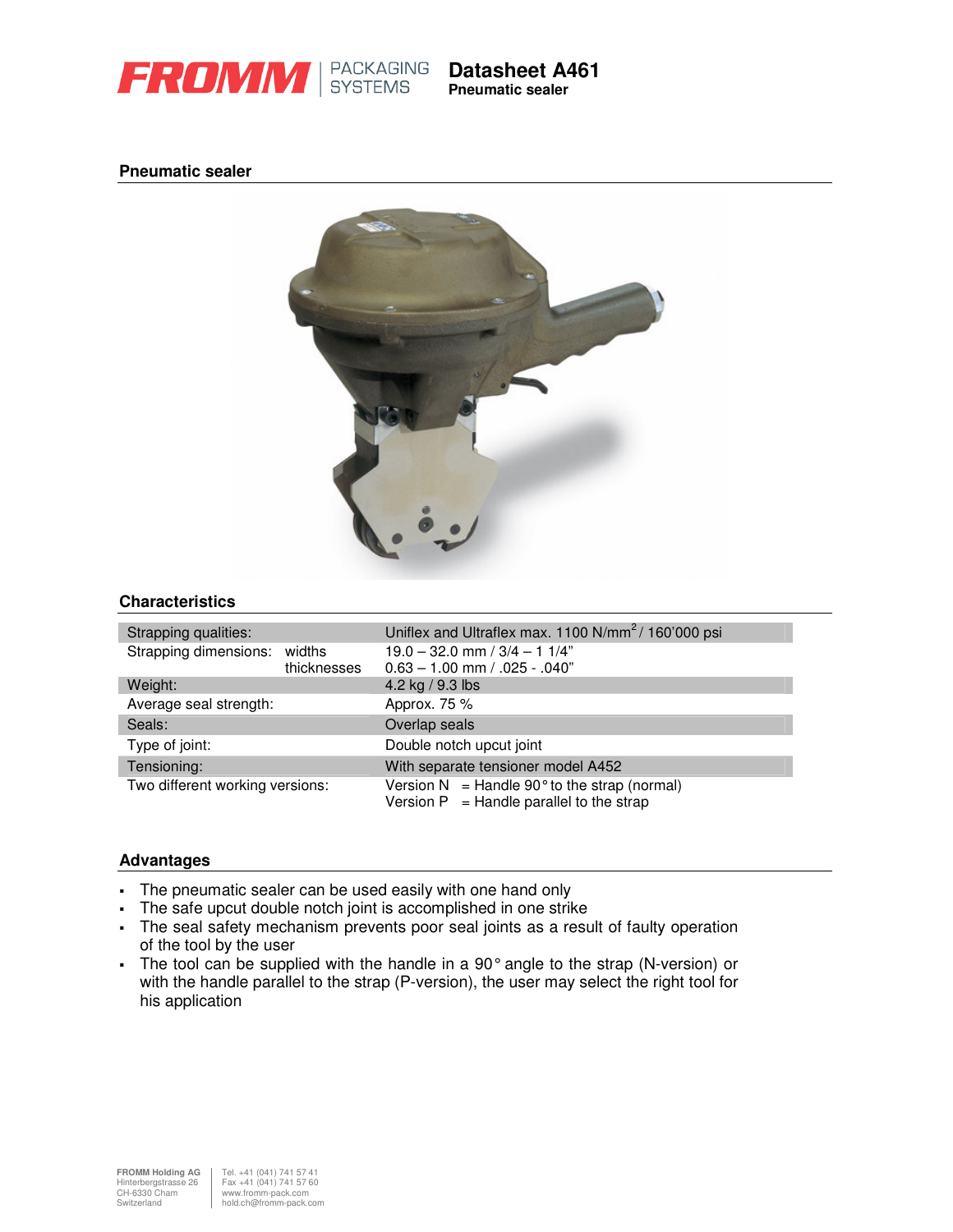

**Datasheet A461 Pneumatic sealer**

# **Pneumatic sealer**



# **Characteristics**

| Strapping qualities:                       | Uniflex and Ultraflex max. 1100 N/mm <sup>2</sup> / 160'000 psi                                        |  |  |  |
|--------------------------------------------|--------------------------------------------------------------------------------------------------------|--|--|--|
| Strapping dimensions: widths               | $19.0 - 32.0$ mm / $3/4 - 11/4$ "                                                                      |  |  |  |
| thicknesses                                | $0.63 - 1.00$ mm $/ .025 - .040$ "                                                                     |  |  |  |
| Weight:<br>4.2 kg / 9.3 lbs                |                                                                                                        |  |  |  |
| Average seal strength:                     | Approx. 75 %                                                                                           |  |  |  |
| Seals:                                     | Overlap seals                                                                                          |  |  |  |
| Double notch upcut joint<br>Type of joint: |                                                                                                        |  |  |  |
| Tensioning:                                | With separate tensioner model A452                                                                     |  |  |  |
| Two different working versions:            | Version $N =$ Handle 90 $^{\circ}$ to the strap (normal)<br>Version $P =$ Handle parallel to the strap |  |  |  |

#### **Advantages**

- The pneumatic sealer can be used easily with one hand only
- The safe upcut double notch joint is accomplished in one strike
- The seal safety mechanism prevents poor seal joints as a result of faulty operation of the tool by the user
- The tool can be supplied with the handle in a 90° angle to the strap (N-version) or with the handle parallel to the strap (P-version), the user may select the right tool for his application